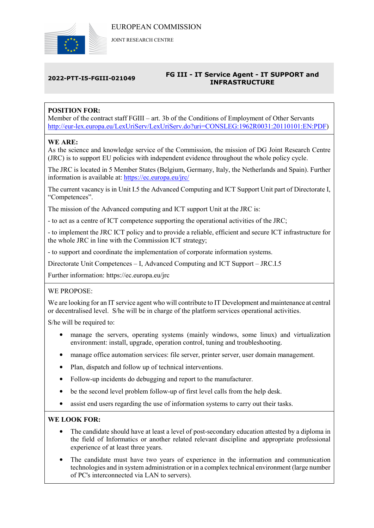

JOINT RESEARCH CENTRE

### 2022-PTT-I5-FGIII-021049 FG III - IT Service Agent - IT SUPPORT and INFRASTRUCTURE

## POSITION FOR:

Member of the contract staff FGIII – art. 3b of the Conditions of Employment of Other Servants http://eur-lex.europa.eu/LexUriServ/LexUriServ.do?uri=CONSLEG:1962R0031:20110101:EN:PDF)

## WE ARE:

As the science and knowledge service of the Commission, the mission of DG Joint Research Centre (JRC) is to support EU policies with independent evidence throughout the whole policy cycle.

The JRC is located in 5 Member States (Belgium, Germany, Italy, the Netherlands and Spain). Further information is available at: https://ec.europa.eu/jrc/

The current vacancy is in Unit I.5 the Advanced Computing and ICT Support Unit part of Directorate I, "Competences".

The mission of the Advanced computing and ICT support Unit at the JRC is:

- to act as a centre of ICT competence supporting the operational activities of the JRC;

- to implement the JRC ICT policy and to provide a reliable, efficient and secure ICT infrastructure for the whole JRC in line with the Commission ICT strategy;

- to support and coordinate the implementation of corporate information systems.

Directorate Unit Competences – I, Advanced Computing and ICT Support – JRC.I.5

Further information: https://ec.europa.eu/jrc

#### WE PROPOSE:

We are looking for an IT service agent who will contribute to IT Development and maintenance at central or decentralised level. S/he will be in charge of the platform services operational activities.

S/he will be required to:

- manage the servers, operating systems (mainly windows, some linux) and virtualization environment: install, upgrade, operation control, tuning and troubleshooting.
- manage office automation services: file server, printer server, user domain management.
- Plan, dispatch and follow up of technical interventions.
- Follow-up incidents do debugging and report to the manufacturer.
- be the second level problem follow-up of first level calls from the help desk.
- assist end users regarding the use of information systems to carry out their tasks.

#### WE LOOK FOR:

- The candidate should have at least a level of post-secondary education attested by a diploma in the field of Informatics or another related relevant discipline and appropriate professional experience of at least three years.
- The candidate must have two years of experience in the information and communication technologies and in system administration or in a complex technical environment (large number of PC's interconnected via LAN to servers).